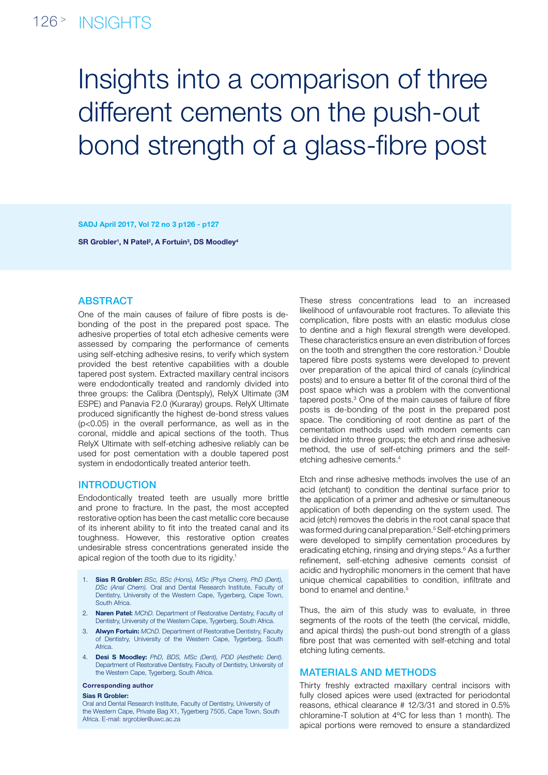# 126<sup>></sup> INSIGHTS

# Insights into a comparison of three different cements on the push-out bond strength of a glass-fibre post

SADJ April 2017, Vol 72 no 3 p126 - p127

SR Grobler<sup>1</sup>, N Patel<sup>2</sup>, A Fortuin<sup>3</sup>, DS Moodley<sup>4</sup>

# **ABSTRACT**

One of the main causes of failure of fibre posts is debonding of the post in the prepared post space. The adhesive properties of total etch adhesive cements were assessed by comparing the performance of cements using self-etching adhesive resins, to verify which system provided the best retentive capabilities with a double tapered post system. Extracted maxillary central incisors were endodontically treated and randomly divided into three groups: the Calibra (Dentsply), RelyX Ultimate (3M ESPE) and Panavia F2.0 (Kuraray) groups. RelyX Ultimate produced significantly the highest de-bond stress values (p<0.05) in the overall performance, as well as in the coronal, middle and apical sections of the tooth. Thus RelyX Ultimate with self-etching adhesive reliably can be used for post cementation with a double tapered post system in endodontically treated anterior teeth.

## **INTRODUCTION**

Endodontically treated teeth are usually more brittle and prone to fracture. In the past, the most accepted restorative option has been the cast metallic core because of its inherent ability to fit into the treated canal and its toughness. However, this restorative option creates undesirable stress concentrations generated inside the apical region of the tooth due to its rigidity.1

- 1. Sias R Grobler: *BSc, BSc (Hons), MSc (Phys Chem), PhD (Dent), DSc (Anal Chem).* Oral and Dental Research Institute, Faculty of Dentistry, University of the Western Cape, Tygerberg, Cape Town, South Africa.
- 2. Naren Patel: *MChD.* Department of Restorative Dentistry, Faculty of Dentistry, University of the Western Cape, Tygerberg, South Africa.
- 3. Alwyn Fortuin: *MChD.* Department of Restorative Dentistry, Faculty of Dentistry, University of the Western Cape, Tygerberg, South **Africa**
- 4. Desi S Moodley: *PhD, BDS, MSc (Dent), PDD (Aesthetic Dent).* Department of Restorative Dentistry, Faculty of Dentistry, University of the Western Cape, Tygerberg, South Africa.

#### Corresponding author

#### Sias R Grobler:

Oral and Dental Research Institute, Faculty of Dentistry, University of the Western Cape, Private Bag X1, Tygerberg 7505, Cape Town, South Africa. E-mail: srgrobler@uwc.ac.za

These stress concentrations lead to an increased likelihood of unfavourable root fractures. To alleviate this complication, fibre posts with an elastic modulus close to dentine and a high flexural strength were developed. These characteristics ensure an even distribution of forces on the tooth and strengthen the core restoration.<sup>2</sup> Double tapered fibre posts systems were developed to prevent over preparation of the apical third of canals (cylindrical posts) and to ensure a better fit of the coronal third of the post space which was a problem with the conventional tapered posts.3 One of the main causes of failure of fibre posts is de-bonding of the post in the prepared post space. The conditioning of root dentine as part of the cementation methods used with modern cements can be divided into three groups; the etch and rinse adhesive method, the use of self-etching primers and the selfetching adhesive cements.4

Etch and rinse adhesive methods involves the use of an acid (etchant) to condition the dentinal surface prior to the application of a primer and adhesive or simultaneous application of both depending on the system used. The acid (etch) removes the debris in the root canal space that was formed during canal preparation.<sup>5</sup> Self-etching primers were developed to simplify cementation procedures by eradicating etching, rinsing and drying steps.<sup>6</sup> As a further refinement, self-etching adhesive cements consist of acidic and hydrophilic monomers in the cement that have unique chemical capabilities to condition, infiltrate and bond to enamel and dentine.<sup>5</sup>

Thus, the aim of this study was to evaluate, in three segments of the roots of the teeth (the cervical, middle, and apical thirds) the push-out bond strength of a glass fibre post that was cemented with self-etching and total etching luting cements.

# Materials and Methods

Thirty freshly extracted maxillary central incisors with fully closed apices were used (extracted for periodontal reasons, ethical clearance # 12/3/31 and stored in 0.5% chloramine-T solution at 4ºC for less than 1 month). The apical portions were removed to ensure a standardized